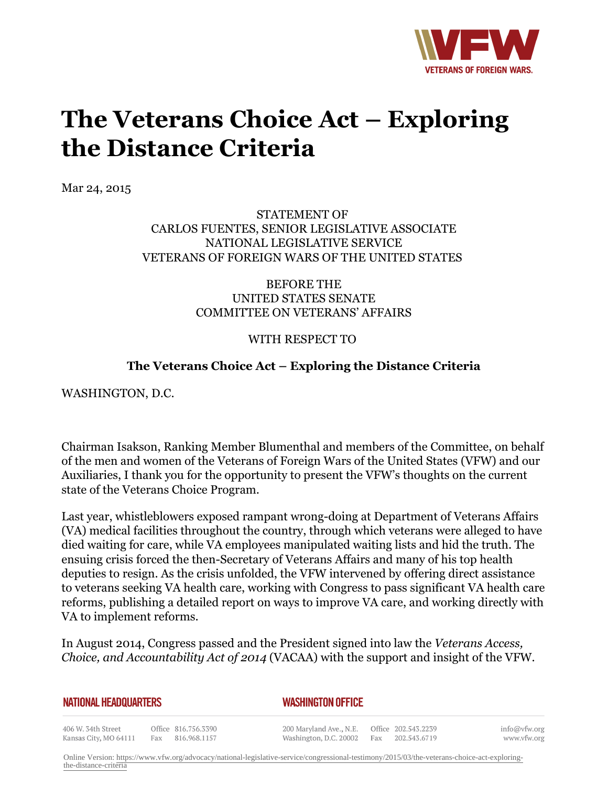

## **The Veterans Choice Act – Exploring the Distance Criteria**

Mar 24, 2015

STATEMENT OF CARLOS FUENTES, SENIOR LEGISLATIVE ASSOCIATE NATIONAL LEGISLATIVE SERVICE VETERANS OF FOREIGN WARS OF THE UNITED STATES

> BEFORE THE UNITED STATES SENATE COMMITTEE ON VETERANS' AFFAIRS

## WITH RESPECT TO

## **The Veterans Choice Act – Exploring the Distance Criteria**

WASHINGTON, D.C.

Chairman Isakson, Ranking Member Blumenthal and members of the Committee, on behalf of the men and women of the Veterans of Foreign Wars of the United States (VFW) and our Auxiliaries, I thank you for the opportunity to present the VFW's thoughts on the current state of the Veterans Choice Program.

Last year, whistleblowers exposed rampant wrong-doing at Department of Veterans Affairs (VA) medical facilities throughout the country, through which veterans were alleged to have died waiting for care, while VA employees manipulated waiting lists and hid the truth. The ensuing crisis forced the then-Secretary of Veterans Affairs and many of his top health deputies to resign. As the crisis unfolded, the VFW intervened by offering direct assistance to veterans seeking VA health care, working with Congress to pass significant VA health care reforms, publishing a detailed report on ways to improve VA care, and working directly with VA to implement reforms.

In August 2014, Congress passed and the President signed into law the *Veterans Access, Choice, and Accountability Act of 2014* (VACAA) with the support and insight of the VFW.

## *WASHINGTON OFFICE*

406 W. 34th Street Office 816.756.3390 Kansas City, MO 64111 Fax 816.968.1157 200 Maryland Ave., N.E.

Office 202.543.2239 Washington, D.C. 20002 Fax 202.543.6719 info@vfw.org www.vfw.org

Online Version: [https://www.vfw.org/advocacy/national-legislative-service/congressional-testimony/2015/03/the-veterans-choice-act-exploring](https://www.vfw.org/advocacy/national-legislative-service/congressional-testimony/2015/03/the-veterans-choice-act-exploring-the-distance-criteria)[the-distance-criteria](https://www.vfw.org/advocacy/national-legislative-service/congressional-testimony/2015/03/the-veterans-choice-act-exploring-the-distance-criteria)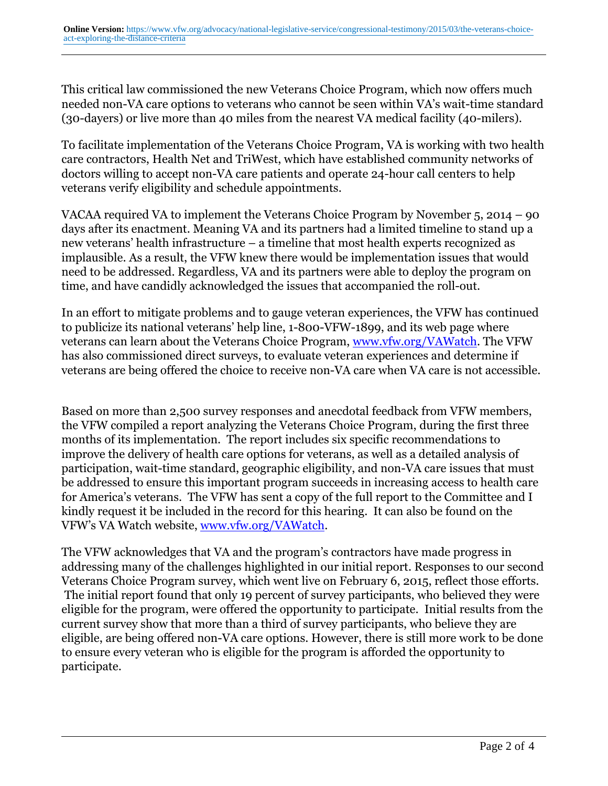This critical law commissioned the new Veterans Choice Program, which now offers much needed non-VA care options to veterans who cannot be seen within VA's wait-time standard (30-dayers) or live more than 40 miles from the nearest VA medical facility (40-milers).

To facilitate implementation of the Veterans Choice Program, VA is working with two health care contractors, Health Net and TriWest, which have established community networks of doctors willing to accept non-VA care patients and operate 24-hour call centers to help veterans verify eligibility and schedule appointments.

VACAA required VA to implement the Veterans Choice Program by November 5, 2014 – 90 days after its enactment. Meaning VA and its partners had a limited timeline to stand up a new veterans' health infrastructure – a timeline that most health experts recognized as implausible. As a result, the VFW knew there would be implementation issues that would need to be addressed. Regardless, VA and its partners were able to deploy the program on time, and have candidly acknowledged the issues that accompanied the roll-out.

In an effort to mitigate problems and to gauge veteran experiences, the VFW has continued to publicize its national veterans' help line, 1-800-VFW-1899, and its web page where veterans can learn about the Veterans Choice Program, www.vfw.org/VAWatch. The VFW has also commissioned direct surveys, to evaluate veteran experiences and determine if veterans are being offered the choice to receive non-VA care when VA care is not accessible.

Based on more than 2,500 survey responses and anecdotal feedback from VFW members, the VFW compiled a report analyzing the Veterans Choice Program, during the first three months of its implementation. The report includes six specific recommendations to improve the delivery of health care options for veterans, as well as a detailed analysis of participation, wait-time standard, geographic eligibility, and non-VA care issues that must be addressed to ensure this important program succeeds in increasing access to health care for America's veterans. The VFW has sent a copy of the full report to the Committee and I kindly request it be included in the record for this hearing. It can also be found on the VFW's VA Watch website, www.vfw.org/VAWatch.

The VFW acknowledges that VA and the program's contractors have made progress in addressing many of the challenges highlighted in our initial report. Responses to our second Veterans Choice Program survey, which went live on February 6, 2015, reflect those efforts. The initial report found that only 19 percent of survey participants, who believed they were eligible for the program, were offered the opportunity to participate. Initial results from the current survey show that more than a third of survey participants, who believe they are eligible, are being offered non-VA care options. However, there is still more work to be done to ensure every veteran who is eligible for the program is afforded the opportunity to participate.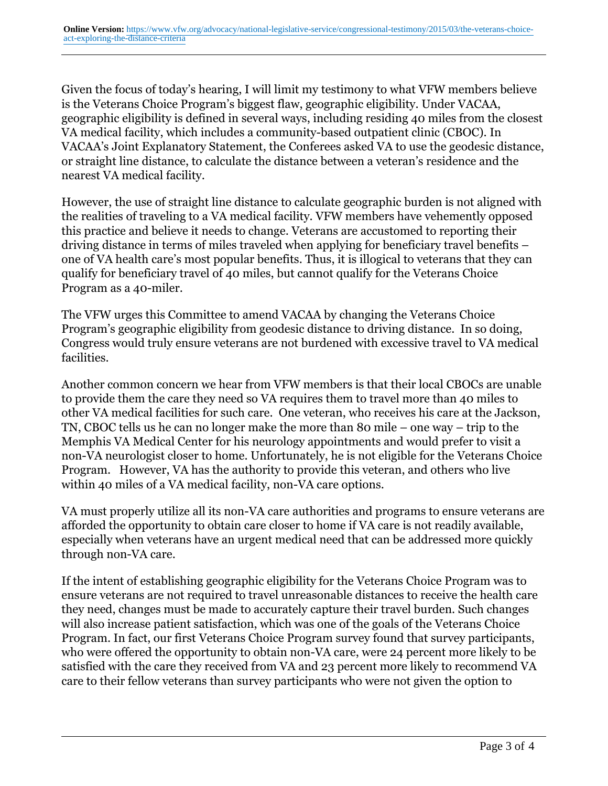Given the focus of today's hearing, I will limit my testimony to what VFW members believe is the Veterans Choice Program's biggest flaw, geographic eligibility. Under VACAA, geographic eligibility is defined in several ways, including residing 40 miles from the closest VA medical facility, which includes a community-based outpatient clinic (CBOC). In VACAA's Joint Explanatory Statement, the Conferees asked VA to use the geodesic distance, or straight line distance, to calculate the distance between a veteran's residence and the nearest VA medical facility.

However, the use of straight line distance to calculate geographic burden is not aligned with the realities of traveling to a VA medical facility. VFW members have vehemently opposed this practice and believe it needs to change. Veterans are accustomed to reporting their driving distance in terms of miles traveled when applying for beneficiary travel benefits – one of VA health care's most popular benefits. Thus, it is illogical to veterans that they can qualify for beneficiary travel of 40 miles, but cannot qualify for the Veterans Choice Program as a 40-miler.

The VFW urges this Committee to amend VACAA by changing the Veterans Choice Program's geographic eligibility from geodesic distance to driving distance. In so doing, Congress would truly ensure veterans are not burdened with excessive travel to VA medical facilities.

Another common concern we hear from VFW members is that their local CBOCs are unable to provide them the care they need so VA requires them to travel more than 40 miles to other VA medical facilities for such care. One veteran, who receives his care at the Jackson, TN, CBOC tells us he can no longer make the more than 80 mile – one way – trip to the Memphis VA Medical Center for his neurology appointments and would prefer to visit a non-VA neurologist closer to home. Unfortunately, he is not eligible for the Veterans Choice Program. However, VA has the authority to provide this veteran, and others who live within 40 miles of a VA medical facility, non-VA care options.

VA must properly utilize all its non-VA care authorities and programs to ensure veterans are afforded the opportunity to obtain care closer to home if VA care is not readily available, especially when veterans have an urgent medical need that can be addressed more quickly through non-VA care.

If the intent of establishing geographic eligibility for the Veterans Choice Program was to ensure veterans are not required to travel unreasonable distances to receive the health care they need, changes must be made to accurately capture their travel burden. Such changes will also increase patient satisfaction, which was one of the goals of the Veterans Choice Program. In fact, our first Veterans Choice Program survey found that survey participants, who were offered the opportunity to obtain non-VA care, were 24 percent more likely to be satisfied with the care they received from VA and 23 percent more likely to recommend VA care to their fellow veterans than survey participants who were not given the option to